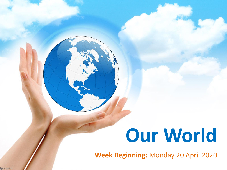# **Our World**

**Week Beginning:** Monday 20 April 2020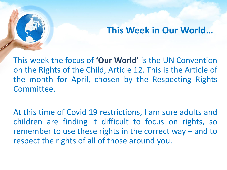### **This Week in Our World…**

This week the focus of **'Our World'** is the UN Convention on the Rights of the Child, Article 12. This is the Article of the month for April, chosen by the Respecting Rights Committee.

At this time of Covid 19 restrictions, I am sure adults and children are finding it difficult to focus on rights, so remember to use these rights in the correct way – and to respect the rights of all of those around you.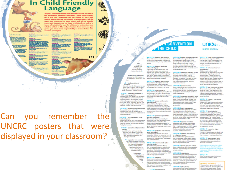### **In Child Friendly Language**

"Rights" are things every child should have or be able to do. All children have the same rights. These rights are listed in the UN Convention on the Rights of the Child. Almost every country has agreed to these rights. All the rights are connected to each other, and all are equally Important. Sometimes, we have to think about rights in terms of what is the best for children in a situation, and what is critical to life and protection from harm. As you grow, you have more responsibility to make choices and rdse your rights.



bu han the edit to be cannel by your year. upperlies of

(e) as well as all the region as the

the right is good abouters a

index to special cars and belp of

make some floor the a

.<br>A shipta - a ang yan dan alima<br>Anipasang yang uni yasa any and subjection ticilo 34<br>han for edit tryby and ind. an de milit la production have wort dies<br>was and in the first below and color<br>Francesco, you have discussed with

an the tight to protection from hos

**Shake Md**<br>Angolan ngay n

sen alumni sugarsh.<br>In seni a hundel ma

can the indic to a good quality education

**Index 43 to 54** 

made to begin belp and fan bruit

经

 $\mathbf{o}$ 

unic

Can you remember the UNCRC posters that were displayed in your classroom?

### **N CONVENTION** THE CHILD

ARTICLE 13 (freedom of expression) Every child must be free to express their thoughts and coinigns and to access all kinds of information, as long as it is within the law.

### ARTICLE 14 (treedom of thought, belief and religion)

**Akard** 

every child<br>shakever their

on, language.

status schatego

Afterlever their family

cent interests of the child)

LE 4 Gregolarmarchation of

mote and protect children's rights.

**/KTICLE 5 (parental guidance and a** 

responsibilities of parents and caters to

provide quidance and direction to their child as they grow up, so that they fully

enjoy their rights. This must be done in a

capacity to make their own choices

Governments must do all they can to

**ARTICLE 7 garth registration, name,** 

vy child has the right to an identity.

changed unlawfully.

serements must respect and protect<br>sght, and prevent the child's name.

ality or family relationships from

**19 (separation from parenta)** 

lecting a child). Children

Sume them harm.

Every child has the right to life

their full potential.

nationality, carel

for by their parents.

identity)

t.

child's evolving capacities)<br>Governments must respect the rights and

every child can enjoy their rights by ating systems and passing laws that

swertioni

its of the child must be a

Every child has the right to think and beleve what they choose and also to practise their religion, as long as they are not stopping other people from enjoying their rights. Governments must respect the rights and responsibilities of patents to guide their child as they grow up. in all decisions and actions that

ARTICLE 15 Hyestom of association! Every child has the right to meet with other children and to join groups and organisations, as long as this does not stop mments must do all they can to make other people from enjoying their rights.

> ARTICLE 16 pight to privacy) Every child has the right to privacy. The law should protect the child's private, family and home life, including protecting children from unlawful attacks that harm their regulated con-

ARTICLE 17 (access to information from the media)<br>Every child has the right to reliable way that recognises the child's increasing information from a variety of sources, and governments should encourage the media to provide information that children ARTICLE 6 (Me, survival and development) can understand. Governments must help protect children from materials that could ensure that children survive and develop to harm them.

> ARTICLE 18 (parental responsibilities) and state assistance) Both parents share responsibility for

Every child has the right to be registered at bringing up their child and should always birth, to have a name and nationality, and, consider what is best for the child. as far as possible, to know and be cared Governments must support parents by creating support services for children and giving parents the help they reed to raise **INTICLE B garatection and preservation** their children

### ARTICLE 19 (protection from violence, abuse and neglect

Governments must do all they can to ensure that children are protected from all forms of violence, abuse, neglect and bad treatment by their parents or anyone else who looks after them.

that is continuous and respects the child's

Governments must oversee the process of

that it prioritiess children's best interests.

11 F 22 inchance children

adoption to make sure it is safe, lewful and

Children should only be adopted outside of

yeat not be asparated from their Vest their will unless it is in their ARTICLE 20 schildren smable to live v that essample, if a parent in with their family! If a child cannot be looked after by have apparated have the their invitediate family. the povemment vitact with both parents must give them special protection and nce. This includes making sure the child is provided with alternative can

culture, language and religion

a family in their own country.

ARTICLE 21 (adoption)

varification vid quickly are! *<u>Phair parent</u>* **WEB COLESN TARR** 

ARTICLE 24 (health and health services) Every child has the right to the best possible health. Governments must provide good quality health care, clean water, rastritious food, and a clean environment and education on health and well-being so that children can stay healthy. Richer countries must help poorer countries achieve this.

> ARTICLE 25 (review of treatment in care) If a child has been placed away from harres for the purpose of care or protection for example, with a foster amily or in hospital), they have the right to a regular review of their treatment the way they are cared for and their wider circumstances

**ARTICLE 26 (social security)** Every child has the right to benefit from social security. Governments must provide spojal security, including financial support and other benefits, to families in need of assistance.

### ARTICLE 27 (adequate standard of Eving) Every child has the right to a standard of Iving that is good enough to meet their physical and social needs and support their development. Governments must help families who cannot afford to

provide this ARTICLE 28 (right to education) Every child has the right to an education. Primary education must be free and different forms of secondary education

pooter countries achieve this.

ARTICLE 29 (goals of education) Education must develop every child's reonality, talents and abilities to the full. It must encourage the child's respect for human rights, as well as respect for their parents, their own and other cultures, and the environment.

**ARTICLE 30 schildren from minority** or indigenous groups)

Every child has the right to learn and use the language, customs and religion of their family, whether or not these are shared by the majority of the people in the country educe they live.

ARTICLE 31 (lettum, play and cultural Every child has the right to relax, play and<br>take part in a wide range of cultural and artistic activities.

### ARTICLE 32 (child labour)

Governments must protect children hom economic exploitation and work that is dangerous or might harm their health, development or education. Governments must set a minimum age for children to work and eraure that work conditions are sale and appropriate.

### their country if they careed be placed with ARTICLE 33 (drug abuse)

Optional Protocols, that strengthen the Governments must protect children from Convention and add further unique that diamal case of decays and from battery stable for children. They are optional

 $unice<sub>1</sub>$ UNITED KINGDOM

medical research

ARTICLE 36 (other forms of exploitation) Gregorian ents must protect children from all other forms of exploitation, for example the exploitation of children for political activities, by the media or for

**ARTICLE 37 Onhumane treatment** 

and detention Children must not be tortured. sentenced to the death penalty or suffer other cruel or decreding treatment or punishment. Children should be arrested, detained or imprisoned only as a last resort and for the shortest time possible. They must be treated with respect and care, and be able to keep in contact with their family. Children must not be put in prison with adults.

ARTICLE 38 (war and armed conflicts) Governments must not allow children under the age of 15 to take part in war or join the armed forces. Government must do everything they can to protect and care for children affected by war and arread conflicts.

ARTICLE 39 (recovery from trauma

and reintegration)<br>Children who have experienced neglect, abuse, exploitation, torture or who are leizege eviscen tsunt text lo anticio support to help them recover their health.

dignity, salf-respect and social life **ARTICLE 40 Buyerile ketical** A child accused or guilty of breaking must be available to every child. Discipline<br>in achools must respect children's dignity the law must be treated with dignity and respect. They have the right to legal and their rights. Richer countries must help assistance and a fair trial that takes

account of their age. Governments must set a minimum age for children to be tried in a criminal court and manage a justice system that enables children who have been in conflict with the law to neintegrate into society.

ARTICLE 41 (respect for higher (ubudamal atangkan

If a country has lews and standards that go further than the present Convention,<br>then the country must keep these favor.

> ARTICLE 42 (knowledge of rights) Governments must actively work to make sure children and adults know about the Convention.

The Convention has 54 articles in total Articles 43-54 are about how adults and governments must work logather to make even all children can enjoy all their rights, including

There are three agreements, called

**ARTICLE 45** 

Unical can provide expert advice and assistance on children's rights. **PTIMAL PROTOCOL**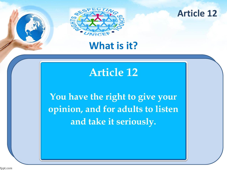



### **What is it?**

## **Article 12**

You have the right to give your opinion, and for adults to listen and take it seriously.

fppt.com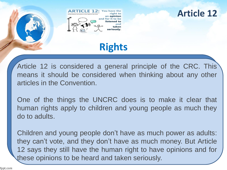

### **Article 12**

### **Rights**

Article 12 is considered a general principle of the CRC. This means it should be considered when thinking about any other articles in the Convention.

One of the things the UNCRC does is to make it clear that human rights apply to children and young people as much they do to adults.

Children and young people don't have as much power as adults: they can't vote, and they don't have as much money. But Article 12 says they still have the human right to have opinions and for these opinions to be heard and taken seriously.

fppt.com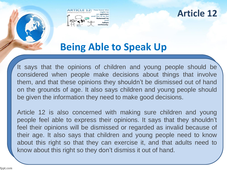

**Article 12**

# **Being Able to Speak Up**

It says that the opinions of children and young people should be considered when people make decisions about things that involve them, and that these opinions they shouldn't be dismissed out of hand on the grounds of age. It also says children and young people should be given the information they need to make good decisions.

Article 12 is also concerned with making sure children and young people feel able to express their opinions. It says that they shouldn't feel their opinions will be dismissed or regarded as invalid because of their age. It also says that children and young people need to know about this right so that they can exercise it, and that adults need to know about this right so they don't dismiss it out of hand.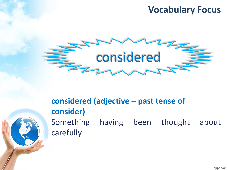### **Vocabulary Focus**



### **considered (adjective – past tense of consider)** Something having been thought about carefully